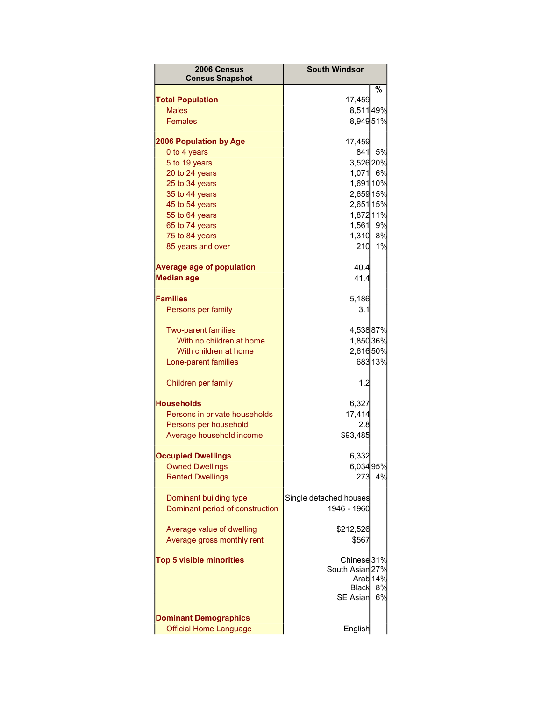| 2006 Census<br><b>Census Snapshot</b> | <b>South Windsor</b>   |                     |
|---------------------------------------|------------------------|---------------------|
|                                       |                        | %                   |
| <b>Total Population</b>               | 17,459                 |                     |
| <b>Males</b>                          | 8,51149%               |                     |
| <b>Females</b>                        | 8,94951%               |                     |
| <b>2006 Population by Age</b>         | 17,459                 |                     |
| 0 to 4 years                          | 841                    | 5%                  |
| 5 to 19 years                         | 3,52620%               |                     |
| 20 to 24 years                        | 1,071 6%               |                     |
| 25 to 34 years                        | 1,691 10%              |                     |
| 35 to 44 years                        | 2,659 15%              |                     |
| 45 to 54 years                        | 2,651 15%              |                     |
| 55 to 64 years                        | 1,872 11%              |                     |
| 65 to 74 years                        | 1,561                  | 9%                  |
| 75 to 84 years                        | 1,310 8%               |                     |
| 85 years and over                     | 210                    | 1%                  |
|                                       |                        |                     |
| <b>Average age of population</b>      | 40.4                   |                     |
| <b>Median age</b>                     | 41.4                   |                     |
| <b>Families</b>                       | 5,186                  |                     |
| Persons per family                    | 3.1                    |                     |
|                                       |                        |                     |
| <b>Two-parent families</b>            | 4,53887%               |                     |
| With no children at home              | 1,850 36%              |                     |
| With children at home                 | 2,61650%               |                     |
| Lone-parent families                  |                        | 68313%              |
| Children per family                   | 1.2                    |                     |
| <b>Households</b>                     | 6,327                  |                     |
| Persons in private households         | 17,414                 |                     |
| Persons per household                 | 2.8                    |                     |
| Average household income              | \$93,485               |                     |
|                                       |                        |                     |
| <b>Occupied Dwellings</b>             | 6,332                  |                     |
| <b>Owned Dwellings</b>                | 6,03495%               |                     |
| <b>Rented Dwellings</b>               | 273                    | 4%                  |
| Dominant building type                | Single detached houses |                     |
| Dominant period of construction       | 1946 - 1960            |                     |
|                                       |                        |                     |
| Average value of dwelling             | \$212,526              |                     |
| Average gross monthly rent            | \$567                  |                     |
|                                       |                        |                     |
| <b>Top 5 visible minorities</b>       | Chinese 31%            |                     |
|                                       | South Asian 27%        |                     |
|                                       |                        | Arab <sub>14%</sub> |
|                                       | Black                  | 8%                  |
|                                       | <b>SE Asian</b>        | 6%                  |
| <b>Dominant Demographics</b>          |                        |                     |
| <b>Official Home Language</b>         | English                |                     |